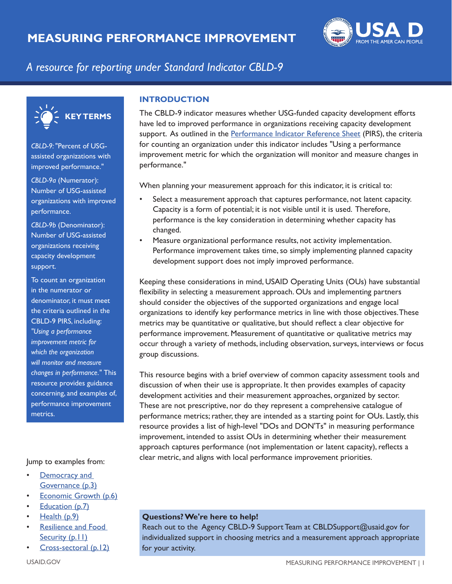

# *A resource for reporting under Standard Indicator CBLD-9*



*CBLD-9:* "Percent of USGassisted organizations with improved performance."

*CBLD-9a* (Numerator): Number of USG-assisted organizations with improved performance.

*CBLD-9b* (Denominator): Number of USG-assisted organizations receiving capacity development support.

To count an organization in the numerator or denominator, it must meet the criteria outlined in the CBLD-9 PIRS, including: *"Using a performance improvement metric for which the organization will monitor and measure changes in performance."* This resource provides guidance concerning, and examples of, performance improvement metrics.

#### Jump to examples from:

- Democracy and [Governance \(p.3\)](#page-2-0)
- [Economic Growth \(p.6\)](#page-5-0)
- **[Education \(p.7\)](#page-6-0)**
- [Health \(p.9\)](#page-8-0)
- [Resilience and Food](#page-10-0)  Security (p.11)
- [Cross-sectoral \(p.12\)](#page-11-0)

### **INTRODUCTION**

support. As outlined in the [Performance Indicator Reference Sheet](https://drive.google.com/file/d/1tHwbh067-ieLTKWvzk6h87dPWTH7OJcw/view?usp=sharing) (PIRS), the criteria The CBLD-9 indicator measures whether USG-funded capacity development efforts have led to improved performance in organizations receiving capacity development for counting an organization under this indicator includes "Using a performance improvement metric for which the organization will monitor and measure changes in performance."

When planning your measurement approach for this indicator, it is critical to:

- Capacity is a form of potential; it is not visible until it is used. Therefore, Select a measurement approach that captures performance, not latent capacity. performance is the key consideration in determining whether capacity has changed.
- Measure organizational performance results, not activity implementation. Performance improvement takes time, so simply implementing planned capacity development support does not imply improved performance.

Keeping these considerations in mind, USAID Operating Units (OUs) have substantial flexibility in selecting a measurement approach. OUs and implementing partners should consider the objectives of the supported organizations and engage local organizations to identify key performance metrics in line with those objectives.These metrics may be quantitative or qualitative, but should reflect a clear objective for performance improvement. Measurement of quantitative or qualitative metrics may occur through a variety of methods, including observation, surveys, interviews or focus group discussions.

This resource begins with a brief overview of common capacity assessment tools and discussion of when their use is appropriate. It then provides examples of capacity development activities and their measurement approaches, organized by sector. These are not prescriptive, nor do they represent a comprehensive catalogue of performance metrics; rather, they are intended as a starting point for OUs. Lastly, this resource provides a list of high-level "DOs and DON'Ts" in measuring performance improvement, intended to assist OUs in determining whether their measurement approach captures performance (not implementation or latent capacity), reflects a clear metric, and aligns with local performance improvement priorities.

# **Questions? We're here to help!**

Reach out to the Agency CBLD-9 Support Team at CBLDSupport@usaid.gov for individualized support in choosing metrics and a measurement approach appropriate for your activity.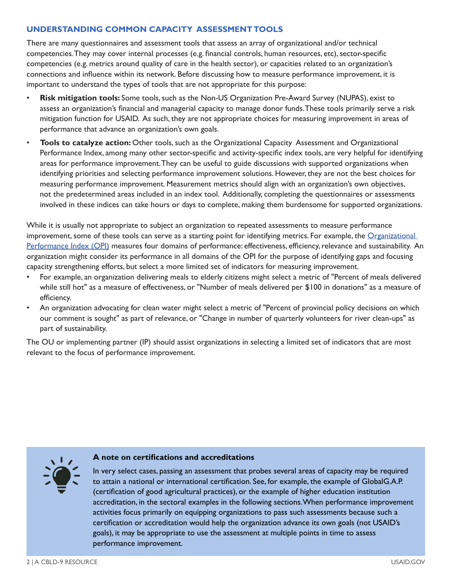# **UNDERSTANDING COMMON CAPACITY ASSESSMENT TOOLS**

There are many questionnaires and assessment tools that assess an array of organizational and/or technical competencies.They may cover internal processes (e.g. financial controls, human resources, etc), sector-specific competencies (e.g. metrics around quality of care in the health sector), or capacities related to an organization's connections and influence within its network. Before discussing how to measure performance improvement, it is important to understand the types of tools that are not appropriate for this purpose:

- mitigation function for USAID. As such, they are not appropriate choices for measuring improvement in areas of • **Risk mitigation tools:** Some tools, such as the Non-US Organization Pre-Award Survey (NUPAS), exist to assess an organization's financial and managerial capacity to manage donor funds.These tools primarily serve a risk performance that advance an organization's own goals.
- not the predetermined areas included in an index tool. Additionally, completing the questionnaires or assessments • **Tools to catalyze action:** Other tools, such as the Organizational Capacity Assessment and Organizational Performance Index, among many other sector-specific and activity-specific index tools, are very helpful for identifying areas for performance improvement.They can be useful to guide discussions with supported organizations when identifying priorities and selecting performance improvement solutions. However, they are not the best choices for measuring performance improvement. Measurement metrics should align with an organization's own objectives, involved in these indices can take hours or days to complete, making them burdensome for supported organizations.

[Performance Index \(OPI\)](https://usaidlearninglab.org/library/organizational-performance-index-measurement-tool) measures four domains of performance: effectiveness, efficiency, relevance and sustainability. An While it is usually not appropriate to subject an organization to repeated assessments to measure performance improvement, some of these tools can serve as a starting point for identifying metrics. For example, the Organizational organization might consider its performance in all domains of the OPI for the purpose of identifying gaps and focusing capacity strengthening efforts, but select a more limited set of indicators for measuring improvement.

- For example, an organization delivering meals to elderly citizens might select a metric of "Percent of meals delivered while still hot" as a measure of effectiveness, or "Number of meals delivered per \$100 in donations" as a measure of efficiency.
- An organization advocating for clean water might select a metric of "Percent of provincial policy decisions on which our comment is sought" as part of relevance, or "Change in number of quarterly volunteers for river clean-ups" as part of sustainability.

The OU or implementing partner (IP) should assist organizations in selecting a limited set of indicators that are most relevant to the focus of performance improvement.



### **A note on certifications and accreditations**

In very select cases, passing an assessment that probes several areas of capacity may be required to attain a national or international certification. See, for example, the example of GlobalG.A.P. (certification of good agricultural practices), or the example of higher education institution accreditation, in the sectoral examples in the following sections.When performance improvement activities focus primarily on equipping organizations to pass such assessments because such a certification or accreditation would help the organization advance its own goals (not USAID's goals), it may be appropriate to use the assessment at multiple points in time to assess performance improvement.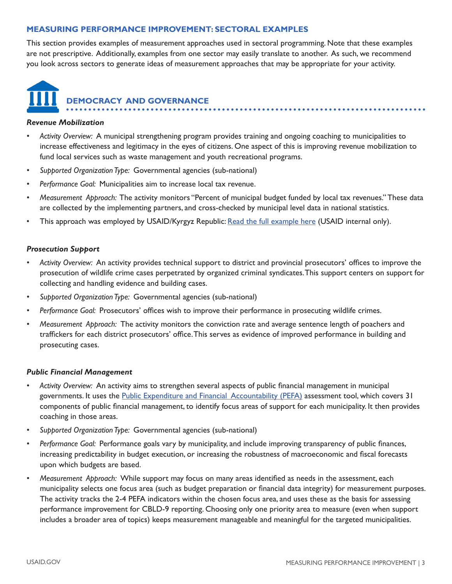# <span id="page-2-0"></span>**MEASURING PERFORMANCE IMPROVEMENT: SECTORAL EXAMPLES**

 are not prescriptive. Additionally, examples from one sector may easily translate to another. As such, we recommend This section provides examples of measurement approaches used in sectoral programming. Note that these examples you look across sectors to generate ideas of measurement approaches that may be appropriate for your activity.



### *Revenue Mobilization*

- *Activity Overview:* A municipal strengthening program provides training and ongoing coaching to municipalities to increase effectiveness and legitimacy in the eyes of citizens. One aspect of this is improving revenue mobilization to fund local services such as waste management and youth recreational programs.
- *Supported Organization Type:* Governmental agencies (sub-national)
- *Performance Goal:* Municipalities aim to increase local tax revenue.
- *Measurement Approach:* The activity monitors "Percent of municipal budget funded by local tax revenues." These data are collected by the implementing partners, and cross-checked by municipal level data in national statistics.
- This approach was employed by USAID/Kyrgyz Republic: [Read the full example here](https://docs.google.com/document/d/1XNuwnzKyJwvYzIliMDMv_g-EARDtr8K659s0gZSbm7s/edit) (USAID internal only).

### *Prosecution Support*

- *Activity Overview:* An activity provides technical support to district and provincial prosecutors' offices to improve the prosecution of wildlife crime cases perpetrated by organized criminal syndicates.This support centers on support for collecting and handling evidence and building cases.
- *Supported Organization Type:* Governmental agencies (sub-national)
- *Performance Goal:* Prosecutors' offices wish to improve their performance in prosecuting wildlife crimes.
- *Measurement Approach:* The activity monitors the conviction rate and average sentence length of poachers and traffickers for each district prosecutors' office.This serves as evidence of improved performance in building and prosecuting cases.

#### *Public Financial Management*

- *Activity Overview:* An activity aims to strengthen several aspects of public financial management in municipal governments. It uses the [Public Expenditure and Financial Accountability \(PEFA\)](https://www.pefa.org/resources) assessment tool, which covers 31 components of public financial management, to identify focus areas of support for each municipality. It then provides coaching in those areas.
- *Supported Organization Type:* Governmental agencies (sub-national)
- *Performance Goal:* Performance goals vary by municipality, and include improving transparency of public finances, increasing predictability in budget execution, or increasing the robustness of macroeconomic and fiscal forecasts upon which budgets are based.
- Measurement Approach: While support may focus on many areas identified as needs in the assessment, each municipality selects one focus area (such as budget preparation or financial data integrity) for measurement purposes. The activity tracks the 2-4 PEFA indicators within the chosen focus area, and uses these as the basis for assessing performance improvement for CBLD-9 reporting. Choosing only one priority area to measure (even when support includes a broader area of topics) keeps measurement manageable and meaningful for the targeted municipalities.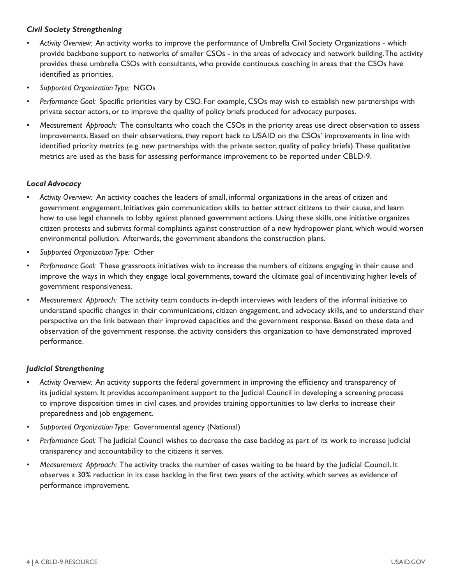# *Civil Society Strengthening*

- *Activity Overview:* An activity works to improve the performance of Umbrella Civil Society Organizations which provide backbone support to networks of smaller CSOs - in the areas of advocacy and network building.The activity provides these umbrella CSOs with consultants, who provide continuous coaching in areas that the CSOs have identified as priorities.
- *Supported Organization Type:* NGOs
- *Performance Goal:* Specific priorities vary by CSO. For example, CSOs may wish to establish new partnerships with private sector actors, or to improve the quality of policy briefs produced for advocacy purposes.
- *Measurement Approach:* The consultants who coach the CSOs in the priority areas use direct observation to assess improvements. Based on their observations, they report back to USAID on the CSOs' improvements in line with identified priority metrics (e.g. new partnerships with the private sector, quality of policy briefs).These qualitative metrics are used as the basis for assessing performance improvement to be reported under CBLD-9.

# *Local Advocacy*

- *Activity Overview:* An activity coaches the leaders of small, informal organizations in the areas of citizen and environmental pollution. Afterwards, the government abandons the construction plans. government engagement. Initiatives gain communication skills to better attract citizens to their cause, and learn how to use legal channels to lobby against planned government actions. Using these skills, one initiative organizes citizen protests and submits formal complaints against construction of a new hydropower plant, which would worsen
- *Supported Organization Type:* Other
- *Performance Goal:* These grassroots initiatives wish to increase the numbers of citizens engaging in their cause and improve the ways in which they engage local governments, toward the ultimate goal of incentivizing higher levels of government responsiveness.
- *Measurement Approach:* The activity team conducts in-depth interviews with leaders of the informal initiative to understand specific changes in their communications, citizen engagement, and advocacy skills, and to understand their perspective on the link between their improved capacities and the government response. Based on these data and observation of the government response, the activity considers this organization to have demonstrated improved performance.

# *Judicial Strengthening*

- *Activity Overview:* An activity supports the federal government in improving the efficiency and transparency of its judicial system. It provides accompaniment support to the Judicial Council in developing a screening process to improve disposition times in civil cases, and provides training opportunities to law clerks to increase their preparedness and job engagement.
- *Supported Organization Type:* Governmental agency (National)
- *Performance Goal:* The Judicial Council wishes to decrease the case backlog as part of its work to increase judicial transparency and accountability to the citizens it serves.
- *Measurement Approach:* The activity tracks the number of cases waiting to be heard by the Judicial Council. It observes a 30% reduction in its case backlog in the first two years of the activity, which serves as evidence of performance improvement.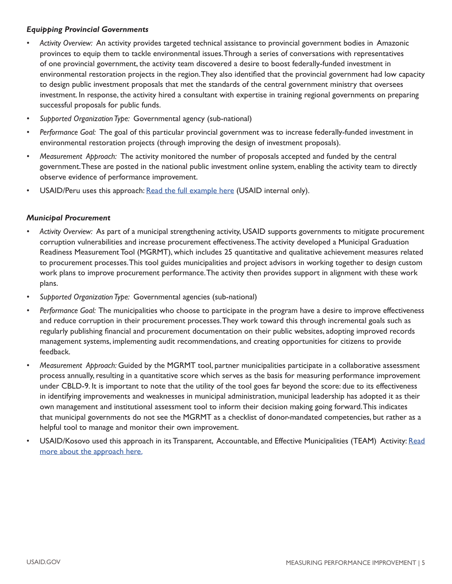# *Equipping Provincial Governments*

- *Activity Overview:* An activity provides targeted technical assistance to provincial government bodies in Amazonic provinces to equip them to tackle environmental issues.Through a series of conversations with representatives of one provincial government, the activity team discovered a desire to boost federally-funded investment in environmental restoration projects in the region.They also identified that the provincial government had low capacity to design public investment proposals that met the standards of the central government ministry that oversees investment. In response, the activity hired a consultant with expertise in training regional governments on preparing successful proposals for public funds.
- *Supported Organization Type:* Governmental agency (sub-national)
- Performance Goal: The goal of this particular provincial government was to increase federally-funded investment in environmental restoration projects (through improving the design of investment proposals).
- *Measurement Approach:* The activity monitored the number of proposals accepted and funded by the central government.These are posted in the national public investment online system, enabling the activity team to directly observe evidence of performance improvement.
- USAID/Peru uses this approach: [Read the full example here](https://docs.google.com/document/d/1Ri1pSjkKzorghSw76uqEsWT-gmyvmQfCUNPZFhSlOec/edit) (USAID internal only).

# *Municipal Procurement*

- *Activity Overview:* As part of a municipal strengthening activity, USAID supports governments to mitigate procurement corruption vulnerabilities and increase procurement effectiveness.The activity developed a Municipal Graduation Readiness Measurement Tool (MGRMT), which includes 25 quantitative and qualitative achievement measures related to procurement processes.This tool guides municipalities and project advisors in working together to design custom work plans to improve procurement performance.The activity then provides support in alignment with these work plans.
- *Supported Organization Type:* Governmental agencies (sub-national)
- *Performance Goal:* The municipalities who choose to participate in the program have a desire to improve effectiveness and reduce corruption in their procurement processes.They work toward this through incremental goals such as regularly publishing financial and procurement documentation on their public websites, adopting improved records management systems, implementing audit recommendations, and creating opportunities for citizens to provide feedback.
- *Measurement Approach:* Guided by the MGRMT tool, partner municipalities participate in a collaborative assessment process annually, resulting in a quantitative score which serves as the basis for measuring performance improvement under CBLD-9. It is important to note that the utility of the tool goes far beyond the score: due to its effectiveness in identifying improvements and weaknesses in municipal administration, municipal leadership has adopted it as their own management and institutional assessment tool to inform their decision making going forward.This indicates that municipal governments do not see the MGRMT as a checklist of donor-mandated competencies, but rather as a helpful tool to manage and monitor their own improvement.
- USAID/Kosovo used this approach in its Transparent, Accountable, and Effective Municipalities (TEAM) Activity: Read [more about the approach here.](https://pdf.usaid.gov/pdf_docs/PA00WFXV.pdf)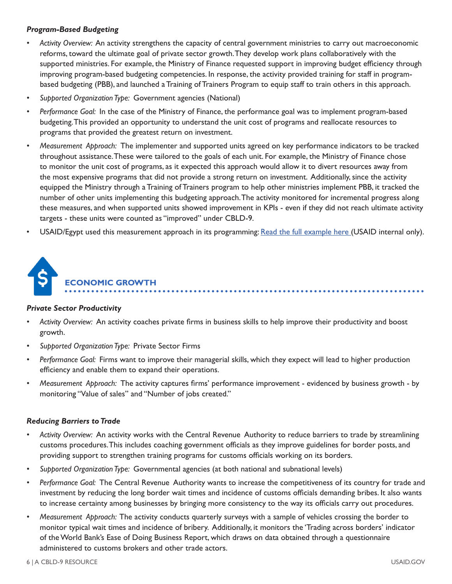# <span id="page-5-0"></span>*Program-Based Budgeting*

- *Activity Overview:* An activity strengthens the capacity of central government ministries to carry out macroeconomic reforms, toward the ultimate goal of private sector growth.They develop work plans collaboratively with the supported ministries. For example, the Ministry of Finance requested support in improving budget efficiency through improving program-based budgeting competencies. In response, the activity provided training for staff in programbased budgeting (PBB), and launched a Training of Trainers Program to equip staff to train others in this approach.
- *Supported Organization Type:* Government agencies (National)
- *Performance Goal:* In the case of the Ministry of Finance, the performance goal was to implement program-based budgeting.This provided an opportunity to understand the unit cost of programs and reallocate resources to programs that provided the greatest return on investment.
- *Measurement Approach:* The implementer and supported units agreed on key performance indicators to be tracked the most expensive programs that did not provide a strong return on investment. Additionally, since the activity throughout assistance.These were tailored to the goals of each unit. For example, the Ministry of Finance chose to monitor the unit cost of programs, as it expected this approach would allow it to divert resources away from equipped the Ministry through a Training of Trainers program to help other ministries implement PBB, it tracked the number of other units implementing this budgeting approach.The activity monitored for incremental progress along these measures, and when supported units showed improvement in KPIs - even if they did not reach ultimate activity targets - these units were counted as "improved" under CBLD-9.
- USAID/Egypt used this measurement approach in its programming: [Read the full example here](https://docs.google.com/document/d/12phDql4iPLADPBWSGqKMzdZ4ia6rudidd60SBTiPIKA/edit) (USAID internal only).



### *Private Sector Productivity*

- *Activity Overview:* An activity coaches private firms in business skills to help improve their productivity and boost growth.
- *Supported Organization Type:* Private Sector Firms
- *Performance Goal:* Firms want to improve their managerial skills, which they expect will lead to higher production efficiency and enable them to expand their operations.
- *Measurement Approach:* The activity captures firms' performance improvement evidenced by business growth by monitoring "Value of sales" and "Number of jobs created."

### *Reducing Barriers to Trade*

- *Activity Overview:* An activity works with the Central Revenue Authority to reduce barriers to trade by streamlining customs procedures.This includes coaching government officials as they improve guidelines for border posts, and providing support to strengthen training programs for customs officials working on its borders.
- *Supported Organization Type:* Governmental agencies (at both national and subnational levels)
- *Performance Goal:* The Central Revenue Authority wants to increase the competitiveness of its country for trade and investment by reducing the long border wait times and incidence of customs officials demanding bribes. It also wants to increase certainty among businesses by bringing more consistency to the way its officials carry out procedures.
- monitor typical wait times and incidence of bribery. Additionally, it monitors the 'Trading across borders' indicator *• Measurement Approach:* The activity conducts quarterly surveys with a sample of vehicles crossing the border to of the World Bank's Ease of Doing Business Report, which draws on data obtained through a questionnaire administered to customs brokers and other trade actors.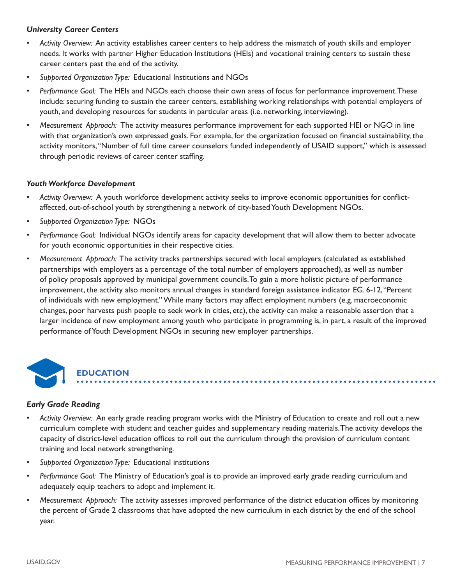# <span id="page-6-0"></span>*University Career Centers*

- *Activity Overview:* An activity establishes career centers to help address the mismatch of youth skills and employer needs. It works with partner Higher Education Institutions (HEIs) and vocational training centers to sustain these career centers past the end of the activity.
- *Supported Organization Type:* Educational Institutions and NGOs
- *Performance Goal:* The HEIs and NGOs each choose their own areas of focus for performance improvement.These include: securing funding to sustain the career centers, establishing working relationships with potential employers of youth, and developing resources for students in particular areas (i.e. networking, interviewing).
- *Measurement Approach:* The activity measures performance improvement for each supported HEI or NGO in line with that organization's own expressed goals. For example, for the organization focused on financial sustainability, the activity monitors,"Number of full time career counselors funded independently of USAID support," which is assessed through periodic reviews of career center staffing.

# *Youth Workforce Development*

- *Activity Overview:* A youth workforce development activity seeks to improve economic opportunities for conflictaffected, out-of-school youth by strengthening a network of city-based Youth Development NGOs.
- *Supported Organization Type:* NGOs
- *Performance Goal:* Individual NGOs identify areas for capacity development that will allow them to better advocate for youth economic opportunities in their respective cities.
- *Measurement Approach:* The activity tracks partnerships secured with local employers (calculated as established partnerships with employers as a percentage of the total number of employers approached), as well as number of policy proposals approved by municipal government [councils.To](https://councils.To) gain a more holistic picture of performance improvement, the activity also monitors annual changes in standard foreign assistance indicator EG. 6-12,"Percent of individuals with new employment." While many factors may affect employment numbers (e.g. macroeconomic changes, poor harvests push people to seek work in cities, etc), the activity can make a reasonable assertion that a larger incidence of new employment among youth who participate in programming is, in part, a result of the improved performance of Youth Development NGOs in securing new employer partnerships.



# ••••••••••••••••••••••••••••••••••••••••••••••••••••••••••••••••••••••••••••••••• **EDUCATION**

# *Early Grade Reading*

- *Activity Overview:* An early grade reading program works with the Ministry of Education to create and roll out a new curriculum complete with student and teacher guides and supplementary reading materials.The activity develops the capacity of district-level education offices to roll out the curriculum through the provision of curriculum content training and local network strengthening.
- *Supported Organization Type:* Educational institutions
- Performance Goal: The Ministry of Education's goal is to provide an improved early grade reading curriculum and adequately equip teachers to adopt and implement it.
- *Measurement Approach:* The activity assesses improved performance of the district education offices by monitoring the percent of Grade 2 classrooms that have adopted the new curriculum in each district by the end of the school year.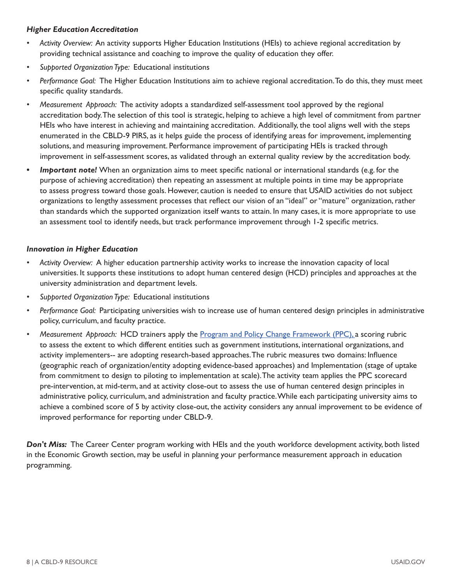# *Higher Education Accreditation*

- *Activity Overview:* An activity supports Higher Education Institutions (HEIs) to achieve regional accreditation by providing technical assistance and coaching to improve the quality of education they offer.
- *Supported Organization Type:* Educational institutions
- Performance Goal: The Higher Education Institutions aim to achieve regional accreditation. To do this, they must meet specific quality standards.
- *Measurement Approach:* The activity adopts a standardized self-assessment tool approved by the regional HEIs who have interest in achieving and maintaining accreditation. Additionally, the tool aligns well with the steps accreditation body.The selection of this tool is strategic, helping to achieve a high level of commitment from partner enumerated in the CBLD-9 PIRS, as it helps guide the process of identifying areas for improvement, implementing solutions, and measuring improvement. Performance improvement of participating HEIs is tracked through improvement in self-assessment scores, as validated through an external quality review by the accreditation body.
- *Important note!* When an organization aims to meet specific national or international standards (e.g. for the purpose of achieving accreditation) then repeating an assessment at multiple points in time may be appropriate to assess progress toward those goals. However, caution is needed to ensure that USAID activities do not subject organizations to lengthy assessment processes that reflect our vision of an "ideal" or "mature" organization, rather than standards which the supported organization itself wants to attain. In many cases, it is more appropriate to use an assessment tool to identify needs, but track performance improvement through 1-2 specific metrics.

# *Innovation in Higher Education*

- *Activity Overview:* A higher education partnership activity works to increase the innovation capacity of local universities. It supports these institutions to adopt human centered design (HCD) principles and approaches at the university administration and department levels.
- *Supported Organization Type:* Educational institutions
- Performance Goal: Participating universities wish to increase use of human centered design principles in administrative policy, curriculum, and faculty practice.
- Measurement Approach: HCD trainers apply the **Program and Policy Change Framework (PPC)**, a scoring rubric to assess the extent to which different entities such as government institutions, international organizations, and activity implementers-- are adopting research-based approaches.The rubric measures two domains: Influence (geographic reach of organization/entity adopting evidence-based approaches) and Implementation (stage of uptake from commitment to design to piloting to implementation at scale).The activity team applies the PPC scorecard pre-intervention, at mid-term, and at activity close-out to assess the use of human centered design principles in administrative policy, curriculum, and administration and faculty practice.While each participating university aims to achieve a combined score of 5 by activity close-out, the activity considers any annual improvement to be evidence of improved performance for reporting under CBLD-9.

Don't Miss: The Career Center program working with HEIs and the youth workforce development activity, both listed in the Economic Growth section, may be useful in planning your performance measurement approach in education programming.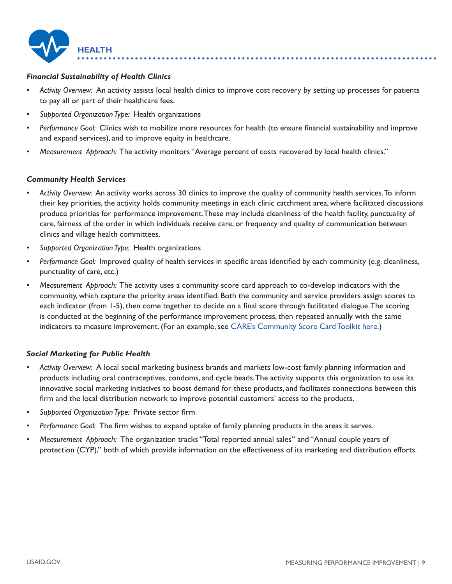<span id="page-8-0"></span>

# *Financial Sustainability of Health Clinics*

- *Activity Overview:* An activity assists local health clinics to improve cost recovery by setting up processes for patients to pay all or part of their healthcare fees.
- *Supported Organization Type:* Health organizations
- *Performance Goal:* Clinics wish to mobilize more resources for health (to ensure financial sustainability and improve and expand services), and to improve equity in healthcare.
- *Measurement Approach:* The activity monitors "Average percent of costs recovered by local health clinics."

### *Community Health Services*

- clinics and village health committees. *• Activity Overview:* An activity works across 30 clinics to improve the quality of community health [services.To](https://services.To) inform their key priorities, the activity holds community meetings in each clinic catchment area, where facilitated discussions produce priorities for performance improvement.These may include cleanliness of the health facility, punctuality of care, fairness of the order in which individuals receive care, or frequency and quality of communication between
- *Supported Organization Type:* Health organizations
- *Performance Goal:* Improved quality of health services in specific areas identified by each community (e.g. cleanliness, punctuality of care, etc.)
- *Measurement Approach:* The activity uses a community score card approach to co-develop indicators with the community, which capture the priority areas identified. Both the community and service providers assign scores to each indicator (from 1-5), then come together to decide on a final score through facilitated dialogue.The scoring is conducted at the beginning of the performance improvement process, then repeated annually with the same indicators to measure improvement. (For an example, see [CARE's Community Score Card Toolkit here.\)](https://www.care.org/wp-content/uploads/2020/05/FP-2013-CARE_CommunityScoreCardToolkit.pdf)

### *Social Marketing for Public Health*

- *Activity Overview:* A local social marketing business brands and markets low-cost family planning information and products including oral contraceptives, condoms, and cycle beads.The activity supports this organization to use its innovative social marketing initiatives to boost demand for these products, and facilitates connections between this firm and the local distribution network to improve potential customers' access to the products.
- *Supported Organization Type:* Private sector firm
- Performance Goal: The firm wishes to expand uptake of family planning products in the areas it serves.
- *Measurement Approach:* The organization tracks "Total reported annual sales" and "Annual couple years of protection (CYP)," both of which provide information on the effectiveness of its marketing and distribution efforts.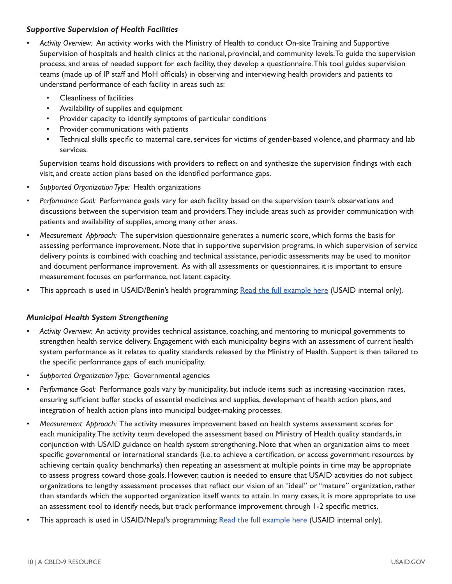### *Supportive Supervision of Health Facilities*

- *Activity Overview:* An activity works with the Ministry of Health to conduct On-site Training and Supportive Supervision of hospitals and health clinics at the national, provincial, and community [levels.To](https://levels.To) guide the supervision process, and areas of needed support for each facility, they develop a questionnaire.This tool guides supervision teams (made up of IP staff and MoH officials) in observing and interviewing health providers and patients to understand performance of each facility in areas such as:
	- Cleanliness of facilities
	- Availability of supplies and equipment
	- Provider capacity to identify symptoms of particular conditions
	- Provider communications with patients
	- Technical skills specific to maternal care, services for victims of gender-based violence, and pharmacy and lab services.

Supervision teams hold discussions with providers to reflect on and synthesize the supervision findings with each visit, and create action plans based on the identified performance gaps.

- *Supported Organization Type:* Health organizations
- Performance Goal: Performance goals vary for each facility based on the supervision team's observations and discussions between the supervision team and providers.They include areas such as provider communication with patients and availability of supplies, among many other areas.
- Measurement Approach: The supervision questionnaire generates a numeric score, which forms the basis for and document performance improvement. As with all assessments or questionnaires, it is important to ensure assessing performance improvement. Note that in supportive supervision programs, in which supervision of service delivery points is combined with coaching and technical assistance, periodic assessments may be used to monitor measurement focuses on performance, not latent capacity.
- This approach is used in USAID/Benin's health programming: [Read the full example here](https://docs.google.com/document/d/1sRC0kh_JrUMjBpCyJExLZCeKV88YUrglw38fEqPT-UM/edit) (USAID internal only).

# *Municipal Health System Strengthening*

- *Activity Overview:* An activity provides technical assistance, coaching, and mentoring to municipal governments to strengthen health service delivery. Engagement with each municipality begins with an assessment of current health system performance as it relates to quality standards released by the Ministry of Health. Support is then tailored to the specific performance gaps of each municipality.
- *Supported Organization Type:* Governmental agencies
- *Performance Goal:* Performance goals vary by municipality, but include items such as increasing vaccination rates, ensuring sufficient buffer stocks of essential medicines and supplies, development of health action plans, and integration of health action plans into municipal budget-making processes.
- *Measurement Approach:* The activity measures improvement based on health systems assessment scores for each municipality.The activity team developed the assessment based on Ministry of Health quality standards, in conjunction with USAID guidance on health system strengthening. Note that when an organization aims to meet specific governmental or international standards (i.e. to achieve a certification, or access government resources by achieving certain quality benchmarks) then repeating an assessment at multiple points in time may be appropriate to assess progress toward those goals. However, caution is needed to ensure that USAID activities do not subject organizations to lengthy assessment processes that reflect our vision of an "ideal" or "mature" organization, rather than standards which the supported organization itself wants to attain. In many cases, it is more appropriate to use an assessment tool to identify needs, but track performance improvement through 1-2 specific metrics.
- This approach is used in USAID/Nepal's programming: [Read the full example here](https://docs.google.com/document/d/1hXh-0mRf79vPGIR_h7oom8pTHT_gffP-qeDLtLJH0X0/edit#) (USAID internal only).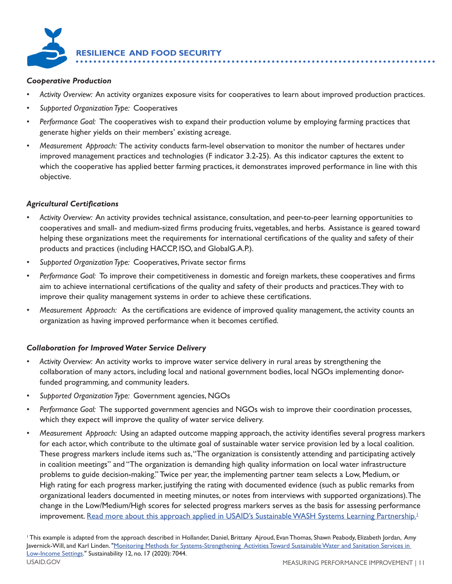<span id="page-10-0"></span>

### *Cooperative Production*

- *Activity Overview:* An activity organizes exposure visits for cooperatives to learn about improved production practices.
- *Supported Organization Type:* Cooperatives
- *Performance Goal:* The cooperatives wish to expand their production volume by employing farming practices that generate higher yields on their members' existing acreage.
- improved management practices and technologies (F indicator 3.2-25). As this indicator captures the extent to *• Measurement Approach:* The activity conducts farm-level observation to monitor the number of hectares under which the cooperative has applied better farming practices, it demonstrates improved performance in line with this objective.

# *Agricultural Certifications*

- cooperatives and small- and medium-sized firms producing fruits, vegetables, and herbs. Assistance is geared toward *• Activity Overview:* An activity provides technical assistance, consultation, and peer-to-peer learning opportunities to helping these organizations meet the requirements for international certifications of the quality and safety of their products and practices (including HACCP, ISO, and GlobalG.A.P.).
- *Supported Organization Type:* Cooperatives, Private sector firms
- *Performance Goal:* To improve their competitiveness in domestic and foreign markets, these cooperatives and firms aim to achieve international certifications of the quality and safety of their products and practices.They with to improve their quality management systems in order to achieve these certifications.
- *Measurement Approach:* As the certifications are evidence of improved quality management, the activity counts an organization as having improved performance when it becomes certified.

# *Collaboration for Improved Water Service Delivery*

- *Activity Overview:* An activity works to improve water service delivery in rural areas by strengthening the collaboration of many actors, including local and national government bodies, local NGOs implementing donorfunded programming, and community leaders.
- *Supported Organization Type:* Government agencies, NGOs
- *Performance Goal:* The supported government agencies and NGOs wish to improve their coordination processes, which they expect will improve the quality of water service delivery.
- *Measurement Approach:* Using an adapted outcome mapping approach, the activity identifies several progress markers for each actor, which contribute to the ultimate goal of sustainable water service provision led by a local coalition. These progress markers include items such as,"The organization is consistently attending and participating actively in coalition meetings" and "The organization is demanding high quality information on local water infrastructure problems to guide decision-making." Twice per year, the implementing partner team selects a Low, Medium, or High rating for each progress marker, justifying the rating with documented evidence (such as public remarks from organizational leaders documented in meeting minutes, or notes from interviews with supported organizations).The change in the Low/Medium/High scores for selected progress markers serves as the basis for assessing performance improvement. Read more about this approach applied in USAID's Sustainable WASH Systems Learning Partnership.<sup>1</sup>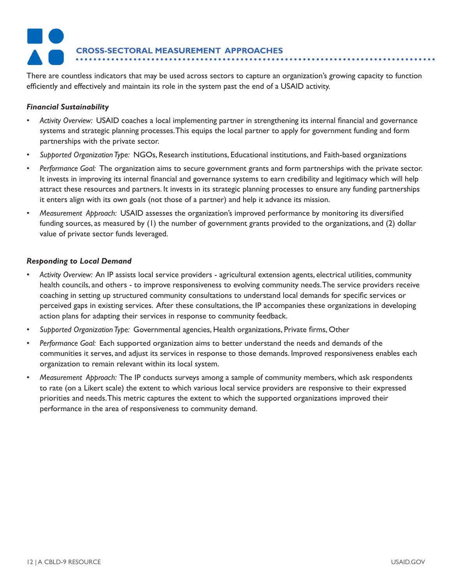# **CROSS-SECTORAL MEASUREMENT APPROACHES**

<span id="page-11-0"></span>•• •• ••••••••••••••••••••••••••••••••••••••••••••••••••••••••••••••••••••••••••••••••• There are countless indicators that may be used across sectors to capture an organization's growing capacity to function efficiently and effectively and maintain its role in the system past the end of a USAID activity.

### *Financial Sustainability*

- *Activity Overview:* USAID coaches a local implementing partner in strengthening its internal financial and governance systems and strategic planning processes.This equips the local partner to apply for government funding and form partnerships with the private sector.
- *Supported Organization Type:* NGOs, Research institutions, Educational institutions, and Faith-based organizations
- *Performance Goal:* The organization aims to secure government grants and form partnerships with the private sector. It invests in improving its internal financial and governance systems to earn credibility and legitimacy which will help attract these resources and partners. It invests in its strategic planning processes to ensure any funding partnerships it enters align with its own goals (not those of a partner) and help it advance its mission.
- *Measurement Approach:* USAID assesses the organization's improved performance by monitoring its diversified funding sources, as measured by (1) the number of government grants provided to the organizations, and (2) dollar value of private sector funds leveraged.

# *Responding to Local Demand*

- perceived gaps in existing services. After these consultations, the IP accompanies these organizations in developing *• Activity Overview:* An IP assists local service providers - agricultural extension agents, electrical utilities, community health councils, and others - to improve responsiveness to evolving community needs.The service providers receive coaching in setting up structured community consultations to understand local demands for specific services or action plans for adapting their services in response to community feedback.
- *Supported Organization Type:* Governmental agencies, Health organizations, Private firms, Other
- *Performance Goal:* Each supported organization aims to better understand the needs and demands of the communities it serves, and adjust its services in response to those demands. Improved responsiveness enables each organization to remain relevant within its local system.
- *Measurement Approach:* The IP conducts surveys among a sample of community members, which ask respondents to rate (on a Likert scale) the extent to which various local service providers are responsive to their expressed priorities and needs.This metric captures the extent to which the supported organizations improved their performance in the area of responsiveness to community demand.